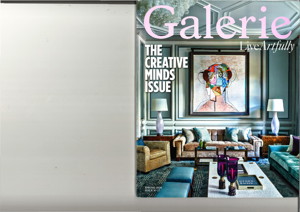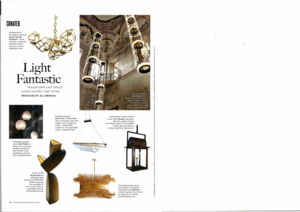### CURATED

Hearkening to his jewelry practice, Hervé Van der Straeten's Lustre Cristallin combines faceted shapes and rock crystal. ralphpucci.net



# Light<br>Fantastic

TRANSFORM ANY SPACE USING SHAPFS AND SHINF PRODUCED BY JILL SIERACKI

Philadelphia glass artist John Pomp is known for conjuring ethereal pendants. like the two-tone, handblown Eclipse orbs. johnpomp.com

> Dublin artist Niamh Barry's standing light sculpture Underneath (2018) captures the strength of the human form in patinated bronze. maisongerard.com

Brooklyn-based **Roll & Hill collaborates** with innovators like John Hogan, who imagined Coax, a weightless collection of suspended tubes. rollandhill.com

Handmade in New Orleans since 1945. Bevolo's lanterns. like this copper Cotton Exchange design, are available in both gas and electric outdoor lighting. bevolo.com



The tropical textures of Laura Kirar's Filamento chandelier for Arteriors create a golden drum from an explosion of rattan. arteriorshome.com

German designer Konstantin Grcic's Noctambule blown-glass vessels appear almost invisible by day but<br>gleam with bright LED rings at night. flos com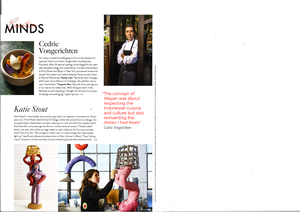



#### Cedric Vongerichten

For many, it would be challenging to thrive in the shadow of a superstar father, but Cedric Vongerichten has absolutely flourished. After 24 years of cooking, he has forged his own path with boundless energy and unique flavors. He helms the kitchens at Perry Street and Wayan in New York, plus several restaurants abroad. His mission is to make Indonesian flavors as well-known as Thai and Vietnamese. Family meal: "My father, Jean-Georges, didn't want me to follow in his footsteps. My rebellion was to stay in the kitchen." Frequent-flier: "My wife, Ochi, and I go out of our way to try restaurants. We're doing an event in the Maldives, so we're stopping in Shanghai for 22 hours to try soup dumplings and suckling pig." wayan-nyc.com -J.T.

**Katie Stout** 

Katie Stout's intentionally naïve, kitschy-pop style is an explosion of exuberance. Seven years out of the Rhode Island School of Design, where she studied furniture design, the young Brooklyn-based talent has been creating a stir with her distinctive, playful works that belie their subversive agenda, like her coveted series of ceramic "Shady Ladies" lamps. Last year, she crafted an edgy ready-to-wear collection for boutique concept store Forty Five Ten. "The end game is that I want to create things that make people light up," says Stout, whose solo presentation at Nina Johnson in Miami, "Sour Tasting Liquid," presents a brand-new body of work celebrating handicrafts. katiestout.com -L.R.



"The concept of Wayan was about respecting the Indonesian cuisine and culture but also reinventing the dishes I had there" Cedric Vongerichten